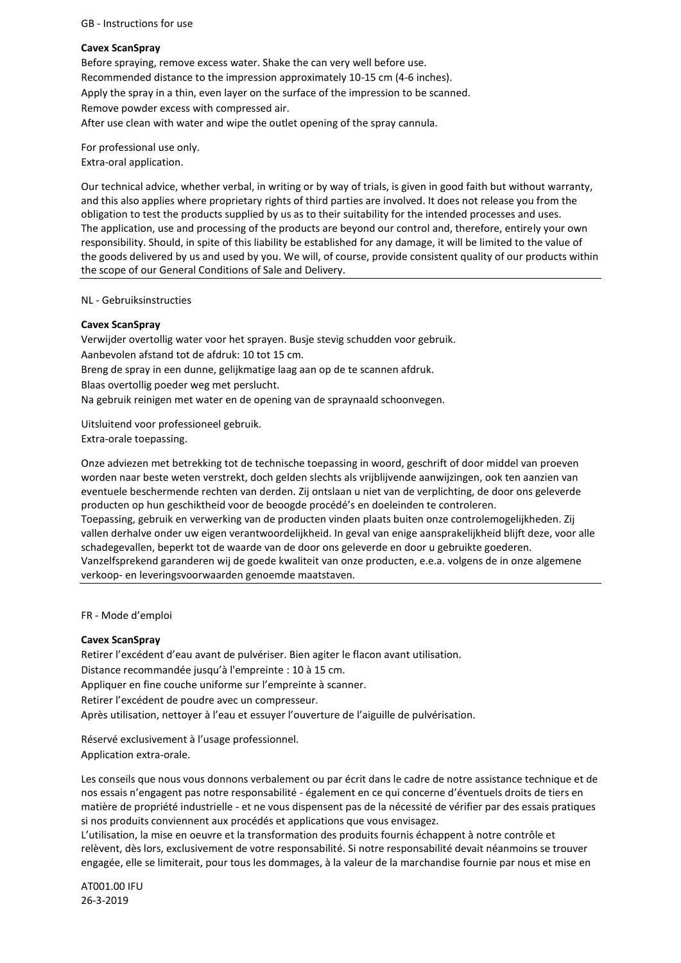### GB - Instructions for use

### **Cavex ScanSpray**

Before spraying, remove excess water. Shake the can very well before use. Recommended distance to the impression approximately 10-15 cm (4-6 inches). Apply the spray in a thin, even layer on the surface of the impression to be scanned. Remove powder excess with compressed air. After use clean with water and wipe the outlet opening of the spray cannula.

For professional use only. Extra-oral application.

Our technical advice, whether verbal, in writing or by way of trials, is given in good faith but without warranty, and this also applies where proprietary rights of third parties are involved. It does not release you from the obligation to test the products supplied by us as to their suitability for the intended processes and uses. The application, use and processing of the products are beyond our control and, therefore, entirely your own responsibility. Should, in spite of this liability be established for any damage, it will be limited to the value of the goods delivered by us and used by you. We will, of course, provide consistent quality of our products within the scope of our General Conditions of Sale and Delivery.

#### NL - Gebruiksinstructies

## **Cavex ScanSpray**

Verwijder overtollig water voor het sprayen. Busje stevig schudden voor gebruik. Aanbevolen afstand tot de afdruk: 10 tot 15 cm. Breng de spray in een dunne, gelijkmatige laag aan op de te scannen afdruk. Blaas overtollig poeder weg met perslucht. Na gebruik reinigen met water en de opening van de spraynaald schoonvegen.

Uitsluitend voor professioneel gebruik. Extra-orale toepassing.

Onze adviezen met betrekking tot de technische toepassing in woord, geschrift of door middel van proeven worden naar beste weten verstrekt, doch gelden slechts als vrijblijvende aanwijzingen, ook ten aanzien van eventuele beschermende rechten van derden. Zij ontslaan u niet van de verplichting, de door ons geleverde producten op hun geschiktheid voor de beoogde procédé's en doeleinden te controleren.

Toepassing, gebruik en verwerking van de producten vinden plaats buiten onze controlemogelijkheden. Zij vallen derhalve onder uw eigen verantwoordelijkheid. In geval van enige aansprakelijkheid blijft deze, voor alle schadegevallen, beperkt tot de waarde van de door ons geleverde en door u gebruikte goederen. Vanzelfsprekend garanderen wij de goede kwaliteit van onze producten, e.e.a. volgens de in onze algemene verkoop- en leveringsvoorwaarden genoemde maatstaven.

FR - Mode d'emploi

## **Cavex ScanSpray**

Retirer l'excédent d'eau avant de pulvériser. Bien agiter le flacon avant utilisation. Distance recommandée jusqu'à l'empreinte : 10 à 15 cm. Appliquer en fine couche uniforme sur l'empreinte à scanner. Retirer l'excédent de poudre avec un compresseur. Après utilisation, nettoyer à l'eau et essuyer l'ouverture de l'aiguille de pulvérisation.

Réservé exclusivement à l'usage professionnel. Application extra-orale.

Les conseils que nous vous donnons verbalement ou par écrit dans le cadre de notre assistance technique et de nos essais n'engagent pas notre responsabilité - également en ce qui concerne d'éventuels droits de tiers en matière de propriété industrielle - et ne vous dispensent pas de la nécessité de vérifier par des essais pratiques si nos produits conviennent aux procédés et applications que vous envisagez.

L'utilisation, la mise en oeuvre et la transformation des produits fournis échappent à notre contrôle et relèvent, dès lors, exclusivement de votre responsabilité. Si notre responsabilité devait néanmoins se trouver engagée, elle se limiterait, pour tous les dommages, à la valeur de la marchandise fournie par nous et mise en

AT001.00 IFU 26-3-2019